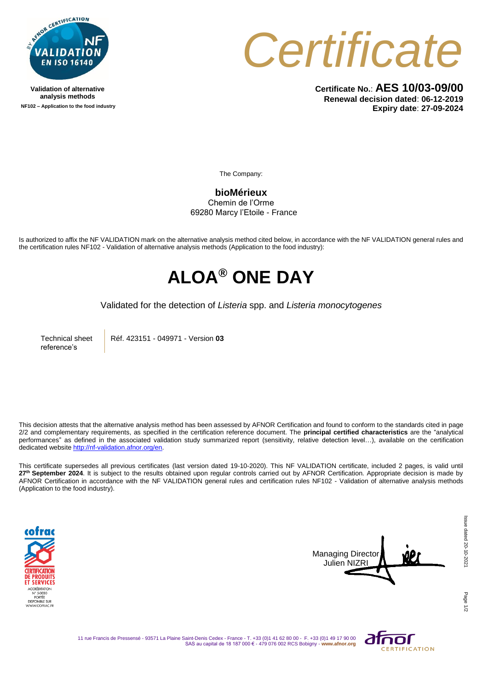

**Validation of alternative analysis methods NF102 – Application to the food industry** *Certificate*

**Certificate No.**: **AES 10/03-09/00 Renewal decision dated**: **06-12-2019 Expiry date**: **27-09-2024**

The Company:

**bioMérieux** Chemin de l'Orme 69280 Marcy l'Etoile - France

Is authorized to affix the NF VALIDATION mark on the alternative analysis method cited below, in accordance with the NF VALIDATION general rules and the certification rules NF102 - Validation of alternative analysis methods (Application to the food industry):

## **ALOA® ONE DAY**

Validated for the detection of *Listeria* spp. and *Listeria monocytogenes*

Technical sheet reference's

Réf. 423151 - 049971 - Version **03**

This decision attests that the alternative analysis method has been assessed by AFNOR Certification and found to conform to the standards cited in page 2/2 and complementary requirements, as specified in the certification reference document. The **principal certified characteristics** are the "analytical performances" as defined in the associated validation study summarized report (sensitivity, relative detection level…), available on the certification dedicated websit[e http://nf-validation.afnor.org/en.](http://nf-validation.afnor.org/en)

This certificate supersedes all previous certificates (last version dated 19-10-2020). This NF VALIDATION certificate, included 2 pages, is valid until 27<sup>th</sup> September 2024. It is subject to the results obtained upon regular controls carried out by AFNOR Certification. Appropriate decision is made by AFNOR Certification in accordance with the NF VALIDATION general rules and certification rules NF102 - Validation of alternative analysis methods (Application to the food industry).





11 rue Francis de Pressensé - 93571 La Plaine Saint-Denis Cedex - France - T. +33 (0)1 41 62 80 00 - F. +33 (0)1 49 17 90 00 SAS au capital de 18 187 000 € - 479 076 002 RCS Bobigny - **www.afnor.org**